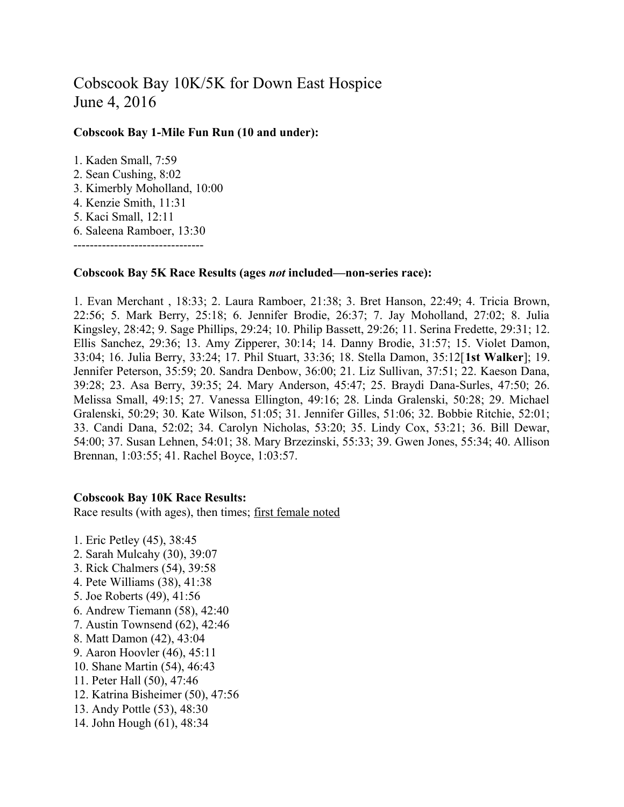## Cobscook Bay 10K/5K for Down East Hospice June 4, 2016

## **Cobscook Bay 1-Mile Fun Run (10 and under):**

1. Kaden Small, 7:59 2. Sean Cushing, 8:02 3. Kimerbly Moholland, 10:00 4. Kenzie Smith, 11:31 5. Kaci Small, 12:11 6. Saleena Ramboer, 13:30 --------------------------------

## **Cobscook Bay 5K Race Results (ages** *not* **included—non-series race):**

1. Evan Merchant , 18:33; 2. Laura Ramboer, 21:38; 3. Bret Hanson, 22:49; 4. Tricia Brown, 22:56; 5. Mark Berry, 25:18; 6. Jennifer Brodie, 26:37; 7. Jay Moholland, 27:02; 8. Julia Kingsley, 28:42; 9. Sage Phillips, 29:24; 10. Philip Bassett, 29:26; 11. Serina Fredette, 29:31; 12. Ellis Sanchez, 29:36; 13. Amy Zipperer, 30:14; 14. Danny Brodie, 31:57; 15. Violet Damon, 33:04; 16. Julia Berry, 33:24; 17. Phil Stuart, 33:36; 18. Stella Damon, 35:12[**1st Walker**]; 19. Jennifer Peterson, 35:59; 20. Sandra Denbow, 36:00; 21. Liz Sullivan, 37:51; 22. Kaeson Dana, 39:28; 23. Asa Berry, 39:35; 24. Mary Anderson, 45:47; 25. Braydi Dana-Surles, 47:50; 26. Melissa Small, 49:15; 27. Vanessa Ellington, 49:16; 28. Linda Gralenski, 50:28; 29. Michael Gralenski, 50:29; 30. Kate Wilson, 51:05; 31. Jennifer Gilles, 51:06; 32. Bobbie Ritchie, 52:01; 33. Candi Dana, 52:02; 34. Carolyn Nicholas, 53:20; 35. Lindy Cox, 53:21; 36. Bill Dewar, 54:00; 37. Susan Lehnen, 54:01; 38. Mary Brzezinski, 55:33; 39. Gwen Jones, 55:34; 40. Allison Brennan, 1:03:55; 41. Rachel Boyce, 1:03:57.

## **Cobscook Bay 10K Race Results:**

Race results (with ages), then times; first female noted

1. Eric Petley (45), 38:45 2. Sarah Mulcahy (30), 39:07 3. Rick Chalmers (54), 39:58 4. Pete Williams (38), 41:38 5. Joe Roberts (49), 41:56 6. Andrew Tiemann (58), 42:40 7. Austin Townsend (62), 42:46 8. Matt Damon (42), 43:04 9. Aaron Hoovler (46), 45:11 10. Shane Martin (54), 46:43 11. Peter Hall (50), 47:46 12. Katrina Bisheimer (50), 47:56 13. Andy Pottle (53), 48:30 14. John Hough (61), 48:34